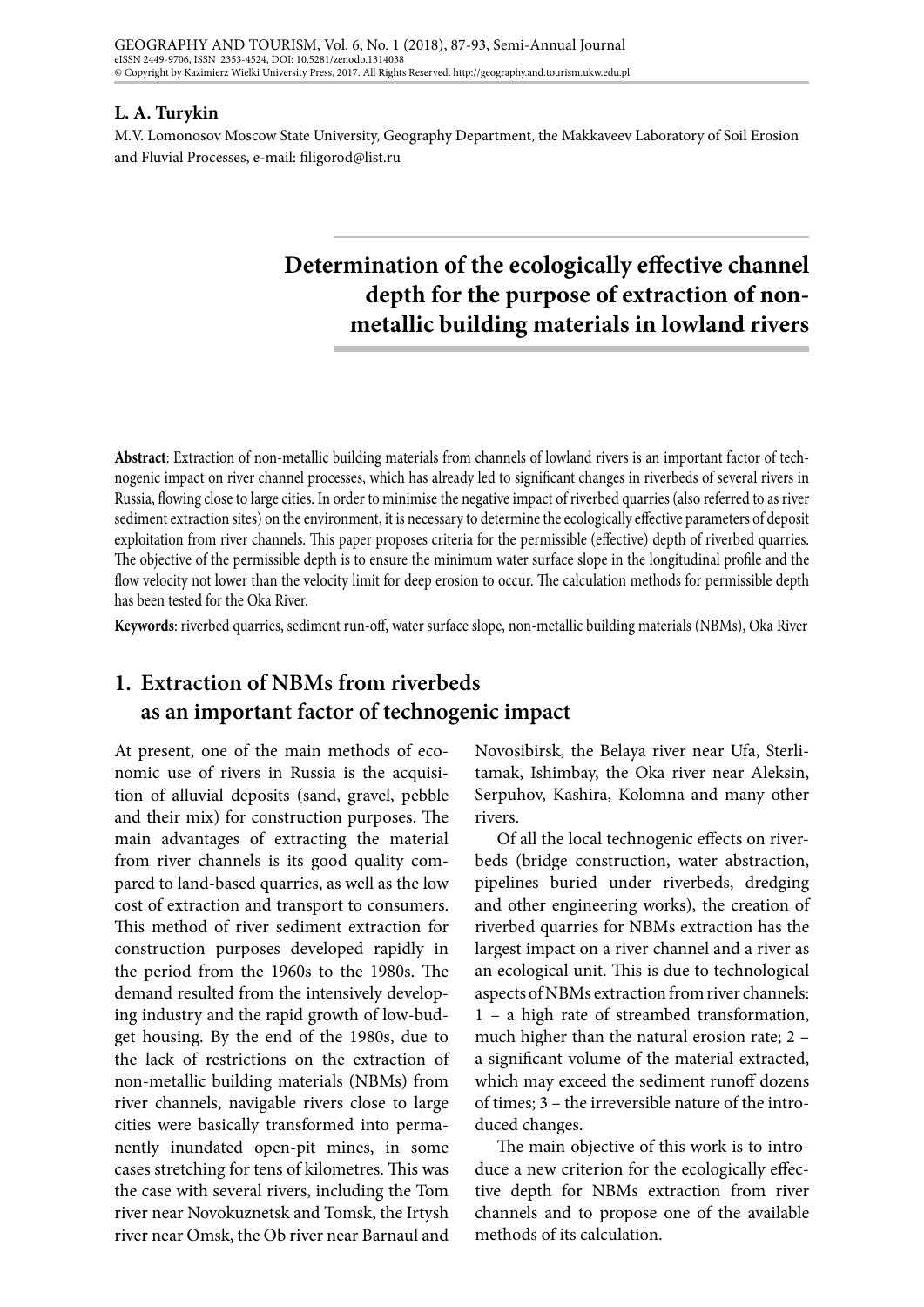#### **L. A. Turykin**

M.V. Lomonosov Moscow State University, Geography Department, the Makkaveev Laboratory of Soil Erosion and Fluvial Processes, e-mail: filigorod@list.ru

# **Determination of the ecologically effective channel depth for the purpose of extraction of nonmetallic building materials in lowland rivers**

**Abstract**: Extraction of non-metallic building materials from channels of lowland rivers is an important factor of technogenic impact on river channel processes, which has already led to significant changes in riverbeds of several rivers in Russia, flowing close to large cities. In order to minimise the negative impact of riverbed quarries (also referred to as river sediment extraction sites) on the environment, it is necessary to determine the ecologically effective parameters of deposit exploitation from river channels. This paper proposes criteria for the permissible (effective) depth of riverbed quarries. The objective of the permissible depth is to ensure the minimum water surface slope in the longitudinal profile and the flow velocity not lower than the velocity limit for deep erosion to occur. The calculation methods for permissible depth has been tested for the Oka River.

**Keywords**: riverbed quarries, sediment run-off, water surface slope, non-metallic building materials (NBMs), Oka River

# **1. Extraction of NBMs from riverbeds as an important factor of technogenic impact**

At present, one of the main methods of economic use of rivers in Russia is the acquisition of alluvial deposits (sand, gravel, pebble and their mix) for construction purposes. The main advantages of extracting the material from river channels is its good quality compared to land-based quarries, as well as the low cost of extraction and transport to consumers. This method of river sediment extraction for construction purposes developed rapidly in the period from the 1960s to the 1980s. The demand resulted from the intensively developing industry and the rapid growth of low-budget housing. By the end of the 1980s, due to the lack of restrictions on the extraction of non-metallic building materials (NBMs) from river channels, navigable rivers close to large cities were basically transformed into permanently inundated open-pit mines, in some cases stretching for tens of kilometres. This was the case with several rivers, including the Tom river near Novokuznetsk and Tomsk, the Irtysh river near Omsk, the Ob river near Barnaul and

Novosibirsk, the Belaya river near Ufa, Sterlitamak, Ishimbay, the Oka river near Aleksin, Serpuhov, Kashira, Kolomna and many other rivers.

Of all the local technogenic effects on riverbeds (bridge construction, water abstraction, pipelines buried under riverbeds, dredging and other engineering works), the creation of riverbed quarries for NBMs extraction has the largest impact on a river channel and a river as an ecological unit. This is due to technological aspects of NBMs extraction from river channels: 1 – a high rate of streambed transformation, much higher than the natural erosion rate; 2 – a significant volume of the material extracted, which may exceed the sediment runoff dozens of times; 3 – the irreversible nature of the introduced changes.

The main objective of this work is to introduce a new criterion for the ecologically effective depth for NBMs extraction from river channels and to propose one of the available methods of its calculation.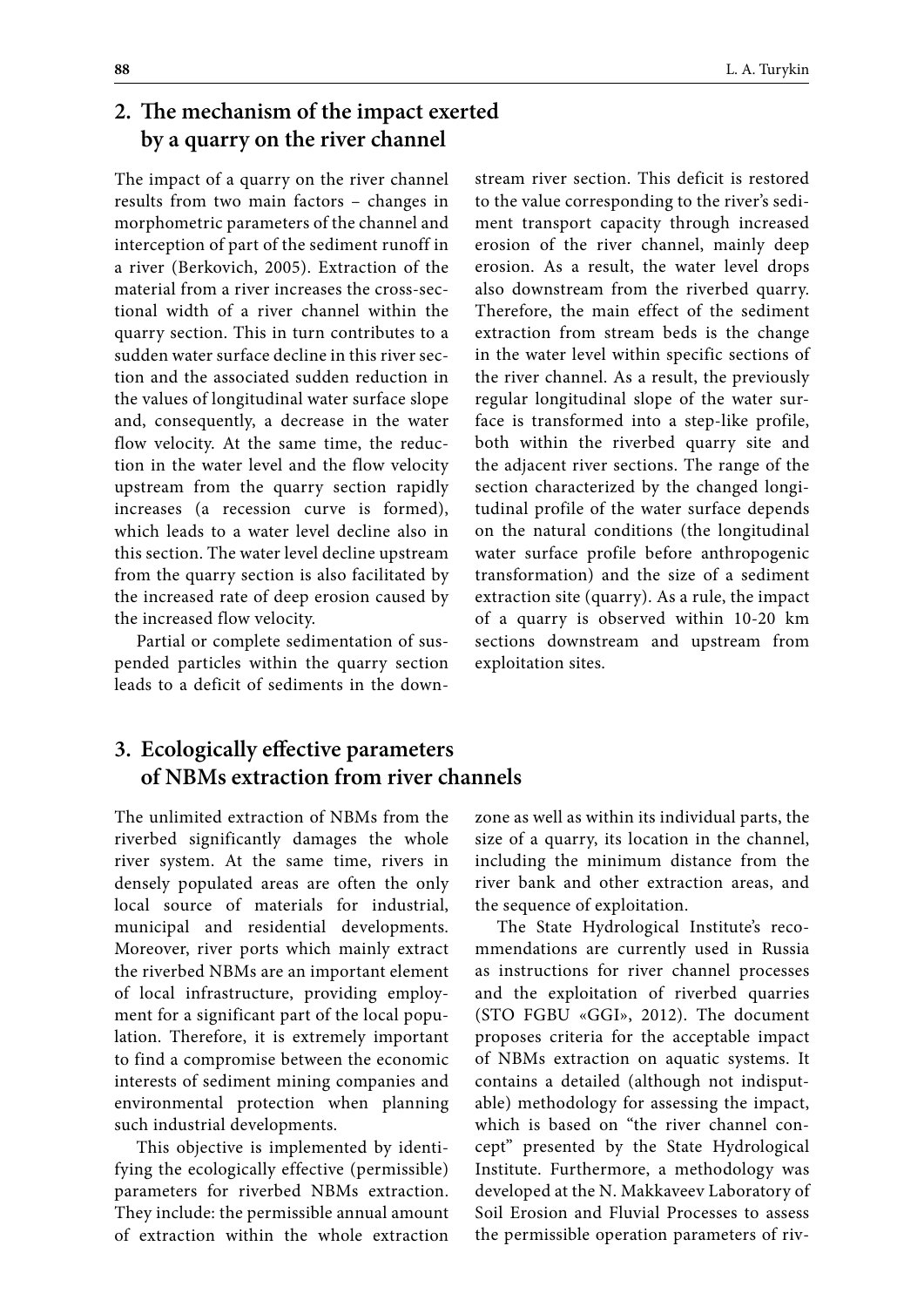# **2. The mechanism of the impact exerted by a quarry on the river channel**

The impact of a quarry on the river channel results from two main factors – changes in morphometric parameters of the channel and interception of part of the sediment runoff in a river (Berkovich, 2005). Extraction of the material from a river increases the cross-sectional width of a river channel within the quarry section. This in turn contributes to a sudden water surface decline in this river section and the associated sudden reduction in the values of longitudinal water surface slope and, consequently, a decrease in the water flow velocity. At the same time, the reduction in the water level and the flow velocity upstream from the quarry section rapidly increases (a recession curve is formed), which leads to a water level decline also in this section. The water level decline upstream from the quarry section is also facilitated by the increased rate of deep erosion caused by the increased flow velocity.

Partial or complete sedimentation of suspended particles within the quarry section leads to a deficit of sediments in the downstream river section. This deficit is restored to the value corresponding to the river's sediment transport capacity through increased erosion of the river channel, mainly deep erosion. As a result, the water level drops also downstream from the riverbed quarry. Therefore, the main effect of the sediment extraction from stream beds is the change in the water level within specific sections of the river channel. As a result, the previously regular longitudinal slope of the water surface is transformed into a step-like profile, both within the riverbed quarry site and the adjacent river sections. The range of the section characterized by the changed longitudinal profile of the water surface depends on the natural conditions (the longitudinal water surface profile before anthropogenic transformation) and the size of a sediment extraction site (quarry). As a rule, the impact of a quarry is observed within 10-20 km sections downstream and upstream from exploitation sites.

## **3. Ecologically effective parameters of NBMs extraction from river channels**

The unlimited extraction of NBMs from the riverbed significantly damages the whole river system. At the same time, rivers in densely populated areas are often the only local source of materials for industrial, municipal and residential developments. Moreover, river ports which mainly extract the riverbed NBMs are an important element of local infrastructure, providing employment for a significant part of the local population. Therefore, it is extremely important to find a compromise between the economic interests of sediment mining companies and environmental protection when planning such industrial developments.

This objective is implemented by identifying the ecologically effective (permissible) parameters for riverbed NBMs extraction. They include: the permissible annual amount of extraction within the whole extraction zone as well as within its individual parts, the size of a quarry, its location in the channel, including the minimum distance from the river bank and other extraction areas, and the sequence of exploitation.

The State Hydrological Institute's recommendations are currently used in Russia as instructions for river channel processes and the exploitation of riverbed quarries (STO FGBU «GGI», 2012). The document proposes criteria for the acceptable impact of NBMs extraction on aquatic systems. It contains a detailed (although not indisputable) methodology for assessing the impact, which is based on "the river channel concept" presented by the State Hydrological Institute. Furthermore, a methodology was developed at the N. Makkaveev Laboratory of Soil Erosion and Fluvial Processes to assess the permissible operation parameters of riv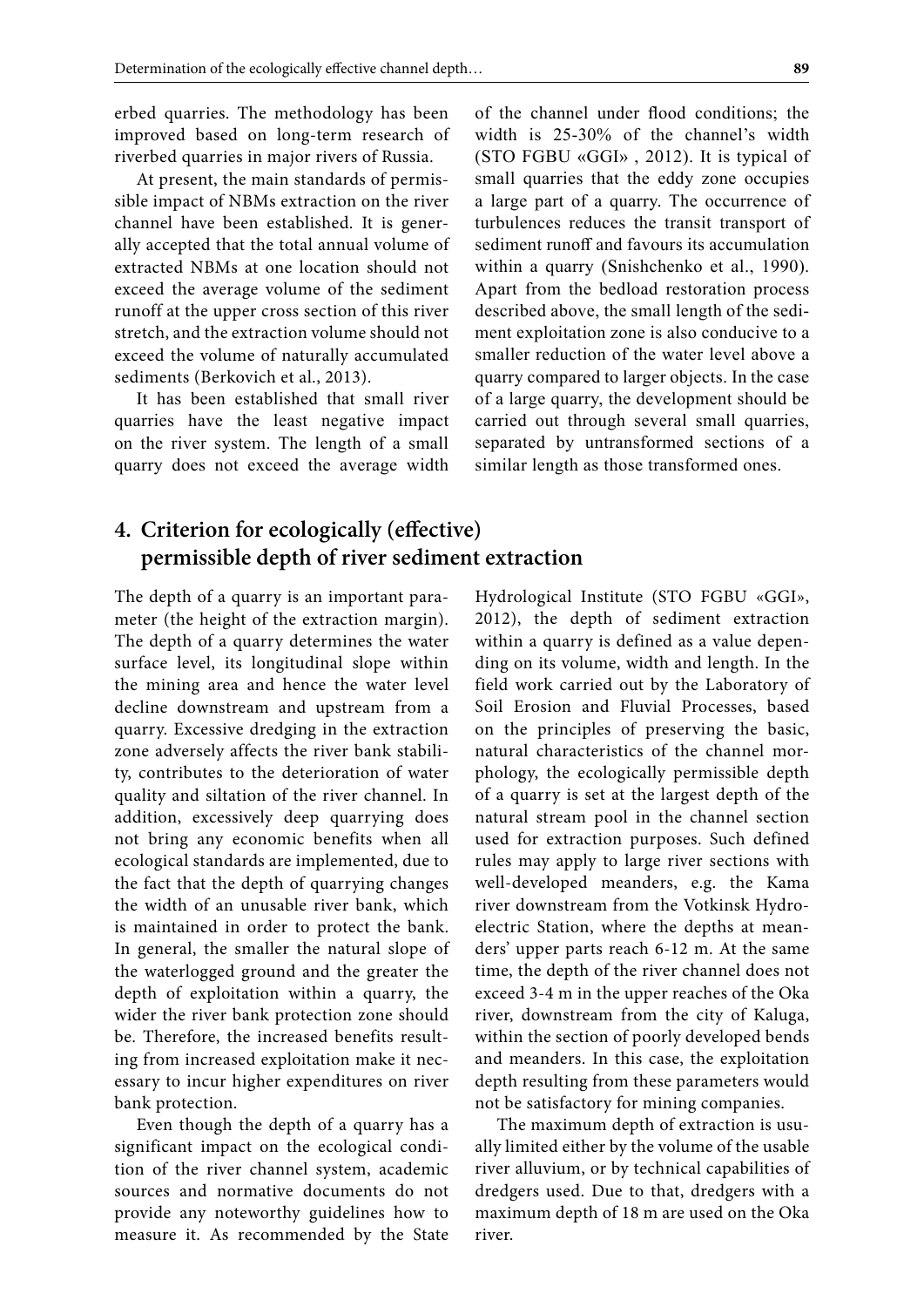erbed quarries. The methodology has been improved based on long-term research of riverbed quarries in major rivers of Russia.

At present, the main standards of permissible impact of NBMs extraction on the river channel have been established. It is generally accepted that the total annual volume of extracted NBMs at one location should not exceed the average volume of the sediment runoff at the upper cross section of this river stretch, and the extraction volume should not exceed the volume of naturally accumulated sediments (Berkovich et al., 2013).

It has been established that small river quarries have the least negative impact on the river system. The length of a small quarry does not exceed the average width of the channel under flood conditions; the width is 25-30% of the channel's width (STO FGBU «GGI» , 2012). It is typical of small quarries that the eddy zone occupies a large part of a quarry. The occurrence of turbulences reduces the transit transport of sediment runoff and favours its accumulation within a quarry (Snishchenko et al., 1990). Apart from the bedload restoration process described above, the small length of the sediment exploitation zone is also conducive to a smaller reduction of the water level above a quarry compared to larger objects. In the case of a large quarry, the development should be carried out through several small quarries, separated by untransformed sections of a similar length as those transformed ones.

# **4. Criterion for ecologically (effective) permissible depth of river sediment extraction**

The depth of a quarry is an important parameter (the height of the extraction margin). The depth of a quarry determines the water surface level, its longitudinal slope within the mining area and hence the water level decline downstream and upstream from a quarry. Excessive dredging in the extraction zone adversely affects the river bank stability, contributes to the deterioration of water quality and siltation of the river channel. In addition, excessively deep quarrying does not bring any economic benefits when all ecological standards are implemented, due to the fact that the depth of quarrying changes the width of an unusable river bank, which is maintained in order to protect the bank. In general, the smaller the natural slope of the waterlogged ground and the greater the depth of exploitation within a quarry, the wider the river bank protection zone should be. Therefore, the increased benefits resulting from increased exploitation make it necessary to incur higher expenditures on river bank protection.

Even though the depth of a quarry has a significant impact on the ecological condition of the river channel system, academic sources and normative documents do not provide any noteworthy guidelines how to measure it. As recommended by the State Hydrological Institute (STO FGBU «GGI», 2012), the depth of sediment extraction within a quarry is defined as a value depending on its volume, width and length. In the field work carried out by the Laboratory of Soil Erosion and Fluvial Processes, based on the principles of preserving the basic, natural characteristics of the channel morphology, the ecologically permissible depth of a quarry is set at the largest depth of the natural stream pool in the channel section used for extraction purposes. Such defined rules may apply to large river sections with well-developed meanders, e.g. the Kama river downstream from the Votkinsk Hydroelectric Station, where the depths at meanders' upper parts reach 6-12 m. At the same time, the depth of the river channel does not exceed 3-4 m in the upper reaches of the Oka river, downstream from the city of Kaluga, within the section of poorly developed bends and meanders. In this case, the exploitation depth resulting from these parameters would not be satisfactory for mining companies.

The maximum depth of extraction is usually limited either by the volume of the usable river alluvium, or by technical capabilities of dredgers used. Due to that, dredgers with a maximum depth of 18 m are used on the Oka river.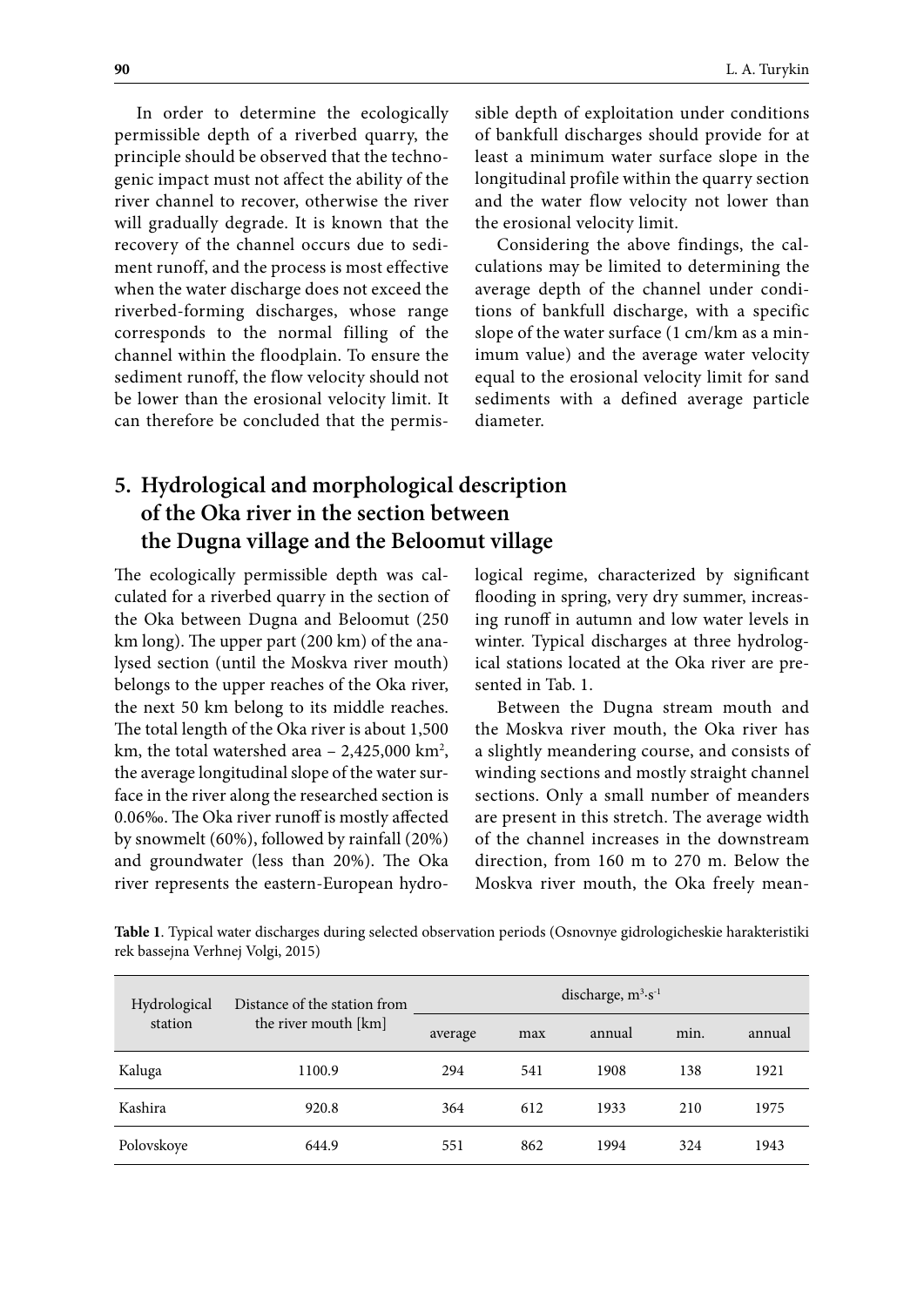In order to determine the ecologically permissible depth of a riverbed quarry, the principle should be observed that the technogenic impact must not affect the ability of the river channel to recover, otherwise the river will gradually degrade. It is known that the recovery of the channel occurs due to sediment runoff, and the process is most effective when the water discharge does not exceed the riverbed-forming discharges, whose range corresponds to the normal filling of the channel within the floodplain. To ensure the sediment runoff, the flow velocity should not be lower than the erosional velocity limit. It can therefore be concluded that the permissible depth of exploitation under conditions of bankfull discharges should provide for at least a minimum water surface slope in the longitudinal profile within the quarry section and the water flow velocity not lower than the erosional velocity limit.

Considering the above findings, the calculations may be limited to determining the average depth of the channel under conditions of bankfull discharge, with a specific slope of the water surface (1 cm/km as a minimum value) and the average water velocity equal to the erosional velocity limit for sand sediments with a defined average particle diameter.

# **5. Hydrological and morphological description of the Oka river in the section between the Dugna village and the Beloomut village**

The ecologically permissible depth was calculated for a riverbed quarry in the section of the Oka between Dugna and Beloomut (250 km long). The upper part (200 km) of the analysed section (until the Moskva river mouth) belongs to the upper reaches of the Oka river, the next 50 km belong to its middle reaches. The total length of the Oka river is about 1,500 km, the total watershed area – 2,425,000 km<sup>2</sup>, the average longitudinal slope of the water surface in the river along the researched section is 0.06‰. The Oka river runoff is mostly affected by snowmelt (60%), followed by rainfall (20%) and groundwater (less than 20%). The Oka river represents the eastern-European hydrological regime, characterized by significant flooding in spring, very dry summer, increasing runoff in autumn and low water levels in winter. Typical discharges at three hydrological stations located at the Oka river are presented in Tab. 1.

Between the Dugna stream mouth and the Moskva river mouth, the Oka river has a slightly meandering course, and consists of winding sections and mostly straight channel sections. Only a small number of meanders are present in this stretch. The average width of the channel increases in the downstream direction, from 160 m to 270 m. Below the Moskva river mouth, the Oka freely mean-

**Table 1**. Typical water discharges during selected observation periods (Osnovnye gidrologicheskie harakteristiki rek bassejna Verhnej Volgi, 2015)

| Hydrological | Distance of the station from | discharge, $m^3 \cdot s^{-1}$ |     |        |      |        |  |
|--------------|------------------------------|-------------------------------|-----|--------|------|--------|--|
| station      | the river mouth [km]         | average                       | max | annual | min. | annual |  |
| Kaluga       | 1100.9                       | 294                           | 541 | 1908   | 138  | 1921   |  |
| Kashira      | 920.8                        | 364                           | 612 | 1933   | 210  | 1975   |  |
| Polovskoye   | 644.9                        | 551                           | 862 | 1994   | 324  | 1943   |  |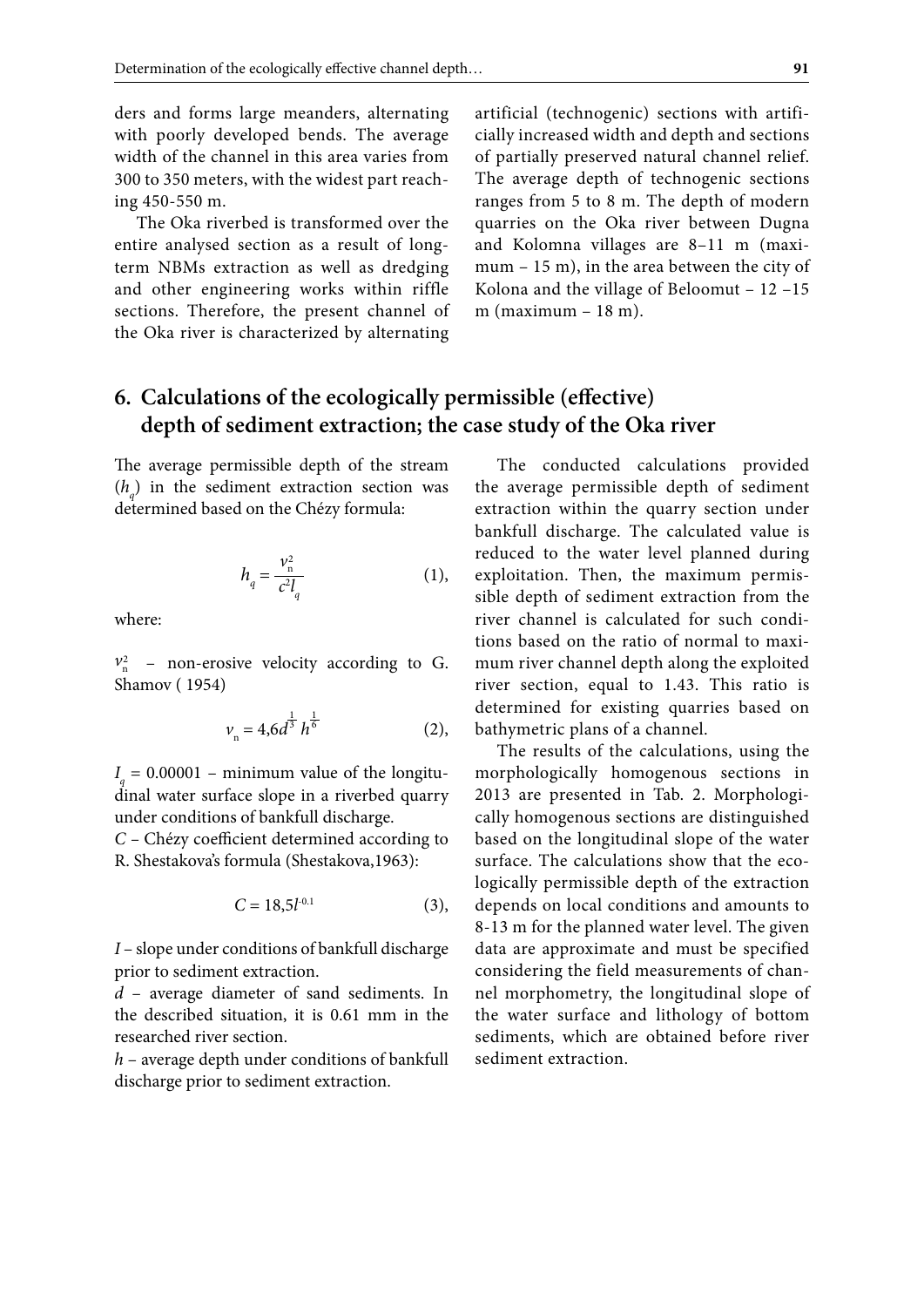ders and forms large meanders, alternating with poorly developed bends. The average width of the channel in this area varies from 300 to 350 meters, with the widest part reaching 450-550 m.

The Oka riverbed is transformed over the entire analysed section as a result of longterm NBMs extraction as well as dredging and other engineering works within riffle sections. Therefore, the present channel of the Oka river is characterized by alternating

artificial (technogenic) sections with artificially increased width and depth and sections of partially preserved natural channel relief. The average depth of technogenic sections ranges from 5 to 8 m. The depth of modern quarries on the Oka river between Dugna and Kolomna villages are 8–11 m (maximum – 15 m), in the area between the city of Kolona and the village of Beloomut – 12 –15 m (maximum – 18 m).

#### **6. Calculations of the ecologically permissible (effective) depth of sediment extraction; the case study of the Oka river**

The average permissible depth of the stream  $(h_q)$  in the sediment extraction section was determined based on the Chézy formula:

$$
h_q = \frac{v_n^2}{c^2 l_q} \tag{1}
$$

where:

 $v_n^2$  – non-erosive velocity according to G. Shamov ( 1954)

$$
v_{n} = 4,6d^{\frac{1}{3}}h^{\frac{1}{6}} \tag{2}
$$

 $I_q = 0.00001$  – minimum value of the longitudinal water surface slope in a riverbed quarry under conditions of bankfull discharge.

*C –* Chézy coefficient determined according to R. Shestakova's formula (Shestakova,1963):

$$
C = 18,5l-0.1
$$
 (3),

*I* – slope under conditions of bankfull discharge prior to sediment extraction.

*d* – average diameter of sand sediments. In the described situation, it is 0.61 mm in the researched river section.

*h* – average depth under conditions of bankfull discharge prior to sediment extraction.

The conducted calculations provided the average permissible depth of sediment extraction within the quarry section under bankfull discharge. The calculated value is reduced to the water level planned during exploitation. Then, the maximum permissible depth of sediment extraction from the river channel is calculated for such conditions based on the ratio of normal to maximum river channel depth along the exploited river section, equal to 1.43. This ratio is determined for existing quarries based on bathymetric plans of a channel.

The results of the calculations, using the morphologically homogenous sections in 2013 are presented in Tab. 2. Morphologically homogenous sections are distinguished based on the longitudinal slope of the water surface. The calculations show that the ecologically permissible depth of the extraction depends on local conditions and amounts to 8-13 m for the planned water level. The given data are approximate and must be specified considering the field measurements of channel morphometry, the longitudinal slope of the water surface and lithology of bottom sediments, which are obtained before river sediment extraction.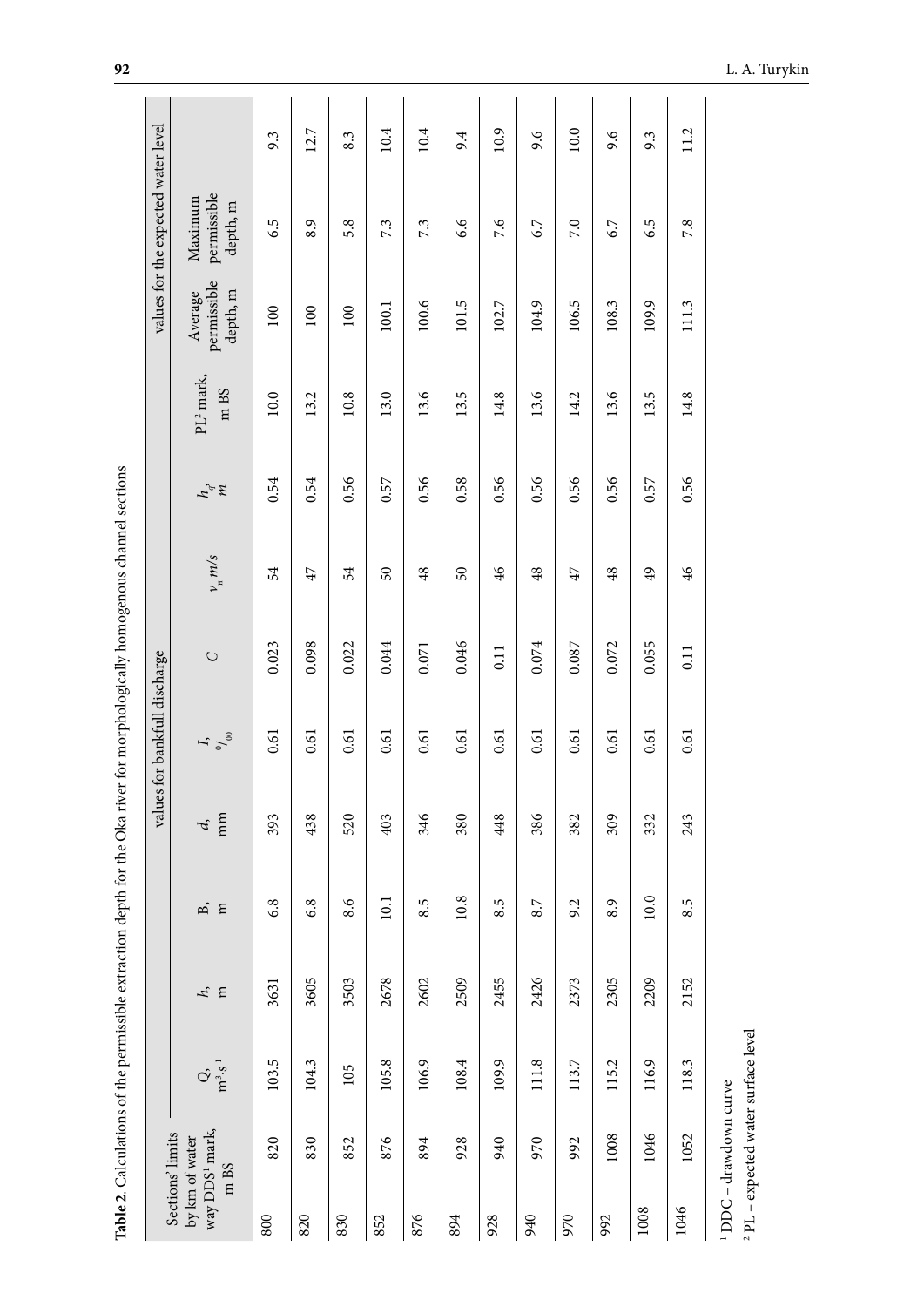| ₹                                                           |  |
|-------------------------------------------------------------|--|
| j                                                           |  |
|                                                             |  |
| is and                                                      |  |
|                                                             |  |
|                                                             |  |
| ا<br>با                                                     |  |
|                                                             |  |
|                                                             |  |
|                                                             |  |
|                                                             |  |
|                                                             |  |
|                                                             |  |
|                                                             |  |
|                                                             |  |
|                                                             |  |
|                                                             |  |
| $\frac{1}{2}$                                               |  |
| ì                                                           |  |
|                                                             |  |
|                                                             |  |
|                                                             |  |
|                                                             |  |
|                                                             |  |
|                                                             |  |
|                                                             |  |
|                                                             |  |
|                                                             |  |
|                                                             |  |
| ֖֖֖֧ׅ֖֧֧ׅ֧֖֧֖֧֚֚֚֚֚֚֚֚֚֚֚֚֚֚֚֚֚֚֚֚֚֚֚֚֚֚֚֚֚֚֚֚֚֡֝֝֝֓֞֝֬֞֝֬֝ |  |
|                                                             |  |
|                                                             |  |
|                                                             |  |
|                                                             |  |
|                                                             |  |
|                                                             |  |
| ׇ֖֖֚֚֚֚֚֬֝                                                  |  |
|                                                             |  |
| $\ddot{\phantom{a}}$                                        |  |
|                                                             |  |
|                                                             |  |
|                                                             |  |
|                                                             |  |
|                                                             |  |
|                                                             |  |
|                                                             |  |
|                                                             |  |
|                                                             |  |
| ֧֦֧֦֧֦֧֦֧֦֧֦֧֦֧֦֧֦֧֦֧֦֧֦֧֦֧֦֧֦֧֦֧֦֧֦֧֦֧֦֝֜                  |  |
|                                                             |  |
|                                                             |  |
|                                                             |  |
|                                                             |  |
|                                                             |  |
|                                                             |  |
| $\vdots$                                                    |  |
| <b>The Contract of Contract</b>                             |  |
|                                                             |  |
| ׇ֚֬                                                         |  |
|                                                             |  |
|                                                             |  |
|                                                             |  |
|                                                             |  |
|                                                             |  |
|                                                             |  |
|                                                             |  |
|                                                             |  |
| l                                                           |  |
|                                                             |  |
|                                                             |  |
|                                                             |  |
|                                                             |  |
|                                                             |  |
|                                                             |  |
|                                                             |  |
|                                                             |  |
|                                                             |  |
| j                                                           |  |
|                                                             |  |
|                                                             |  |
|                                                             |  |
|                                                             |  |
|                                                             |  |
|                                                             |  |
|                                                             |  |
| $\overline{\phantom{a}}$                                    |  |
| l<br>Ì<br>í                                                 |  |

|                                   |                      |                                                                                                | Table 2. Calculations of the permissible extraction depth for the Oka river for morphologically homogenous channel sections |             |          |                               |           |                   |                   |                        |                                    |                                     |      |
|-----------------------------------|----------------------|------------------------------------------------------------------------------------------------|-----------------------------------------------------------------------------------------------------------------------------|-------------|----------|-------------------------------|-----------|-------------------|-------------------|------------------------|------------------------------------|-------------------------------------|------|
| Sections' limits                  |                      |                                                                                                |                                                                                                                             |             |          | values for bankfull discharge |           |                   |                   |                        |                                    | values for the expected water level |      |
| way DDS1 mark,<br>by km of water- | m BS                 | $\mathop{\mathrm{G}}\nolimits_{\mathop{\mathrm{in}}\nolimits}^{\mathop{\mathrm{in}}\nolimits}$ | $\mathbf{H}$<br>ŀ,                                                                                                          | $\Xi$<br>B, | mm<br>d, | $I$ , $\frac{I}{\gamma_{00}}$ | $\bigcup$ | $v_{\rm H}$ $m/s$ | $\tau_{\rm s}$ is | $PL^2$ mark,<br>$m$ BS | permissible<br>depth, m<br>Average | permissible<br>Maximum<br>depth, m  |      |
| 800                               | 820                  | 103.5                                                                                          | 3631                                                                                                                        | 6.8         | 393      | 0.61                          | 0.023     | 54                | 0.54              | $10.0\,$               | $100\,$                            | 6.5                                 | 9.3  |
| 820                               | 830                  | 104.3                                                                                          | 3605                                                                                                                        | 6.8         | 438      | 0.61                          | 0.098     | 47                | 0.54              | 13.2                   | 100                                | 8.9                                 | 12.7 |
| 830                               | 852                  | 105                                                                                            | 3503                                                                                                                        | 8.6         | 520      | 0.61                          | 0.022     | 54                | 0.56              | 10.8                   | 100                                | 5.8                                 | 8.3  |
| 852                               | 876                  | 105.8                                                                                          | 2678                                                                                                                        | 10.1        | 403      | 0.61                          | 0.044     | 50                | 0.57              | 13.0                   | 100.1                              | 7.3                                 | 10.4 |
| 876                               | 894                  | 106.9                                                                                          | 2602                                                                                                                        | 8.5         | 346      | 0.61                          | $0.071\,$ | 48                | 0.56              | 13.6                   | 100.6                              | 7.3                                 | 10.4 |
| 894                               | 928                  | 108.4                                                                                          | 2509                                                                                                                        | 10.8        | 380      | 0.61                          | 0.046     | 50                | 0.58              | 13.5                   | 101.5                              | 6.6                                 | 9.4  |
| 928                               | 940                  | 109.9                                                                                          | 2455                                                                                                                        | 5<br>∞      | 448      | 0.61                          | 0.11      | 46                | 0.56              | 14.8                   | 102.7                              | 7.6                                 | 10.9 |
| 940                               | 970                  | 111.8                                                                                          | 2426                                                                                                                        | 8.7         | 386      | 0.61                          | 0.074     | 48                | 0.56              | 13.6                   | 104.9                              | 6.7                                 | 9.6  |
| 970                               | 992                  | 113.7                                                                                          | 2373                                                                                                                        | 9.2         | 382      | 0.61                          | 0.087     | 47                | 0.56              | 14.2                   | 106.5                              | 7.0                                 | 10.0 |
| 992                               | 1008                 | 115.2                                                                                          | 2305                                                                                                                        | 8.9         | 309      | 0.61                          | 0.072     | 48                | 0.56              | 13.6                   | 108.3                              | 6.7                                 | 9.6  |
| 1008                              | 1046                 | 116.9                                                                                          | 2209                                                                                                                        | $10.0$      | 332      | 0.61                          | 0.055     | 49                | 0.57              | 13.5                   | 109.9                              | 6.5                                 | 9.3  |
| 1046                              | 1052                 | 118.3                                                                                          | 2152                                                                                                                        | r.<br>∞     | 243      | 0.61                          | 0.11      | 46                | 0.56              | 14.8                   | 111.3                              | 7.8                                 | 11.2 |
|                                   | DDC - drawdown curve | PL - expected water surface level                                                              |                                                                                                                             |             |          |                               |           |                   |                   |                        |                                    |                                     |      |